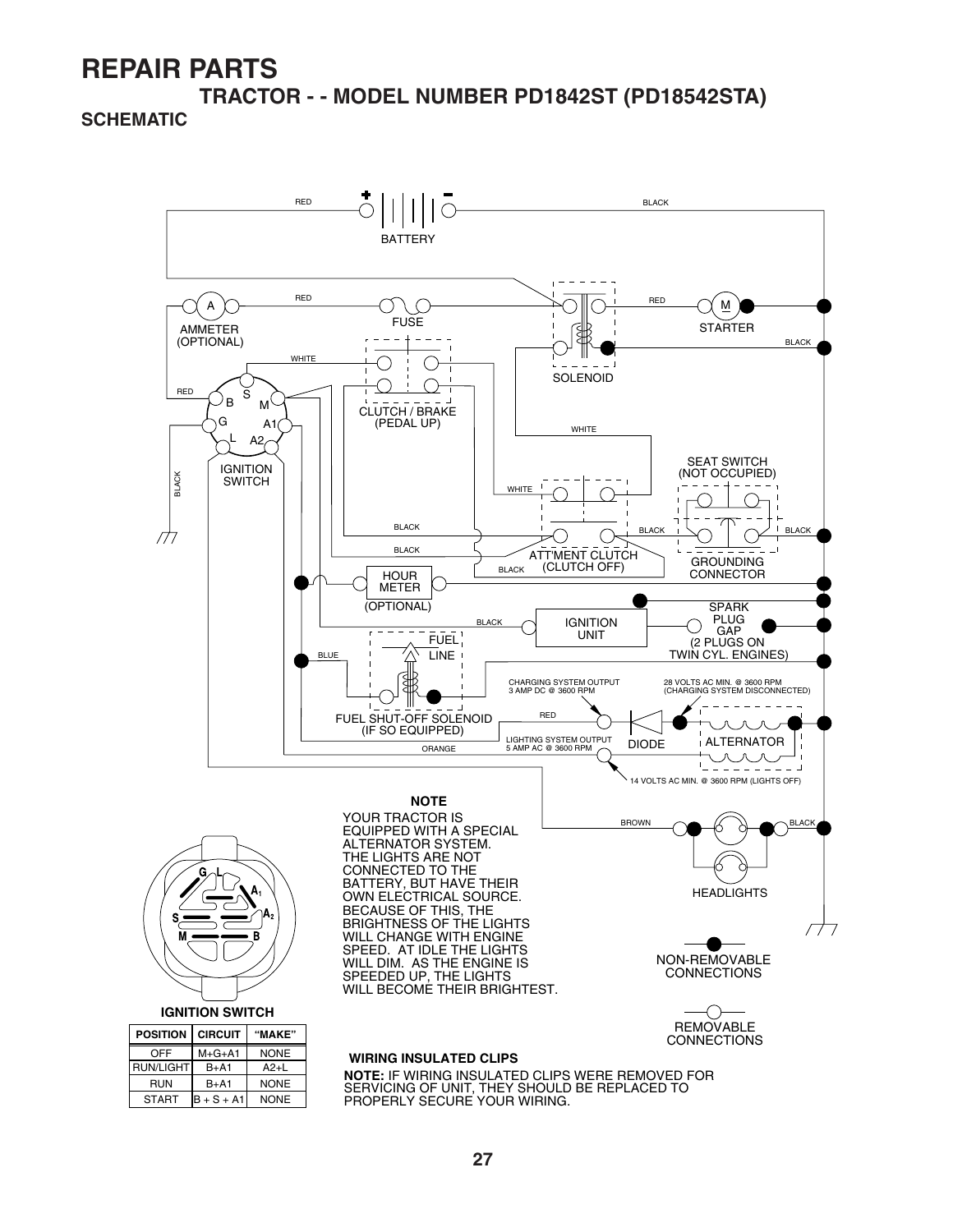# **REPAIR PARTS**

**TRACTOR - - MODEL NUMBER PD1842ST (PD18542STA)**

### **SCHEMATIC**

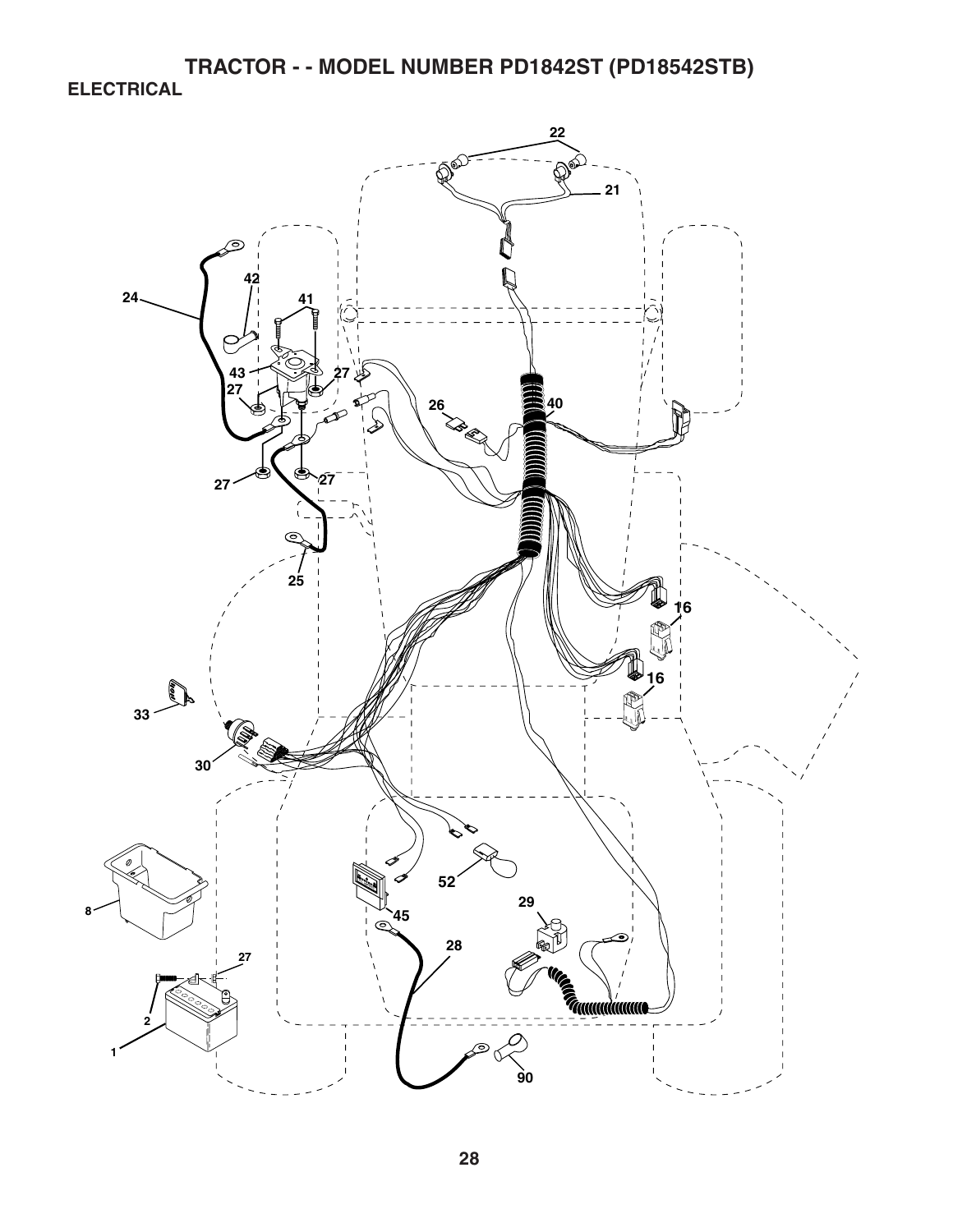**TRACTOR - - MODEL NUMBER PD1842ST (PD18542STB) ELECTRICAL** 

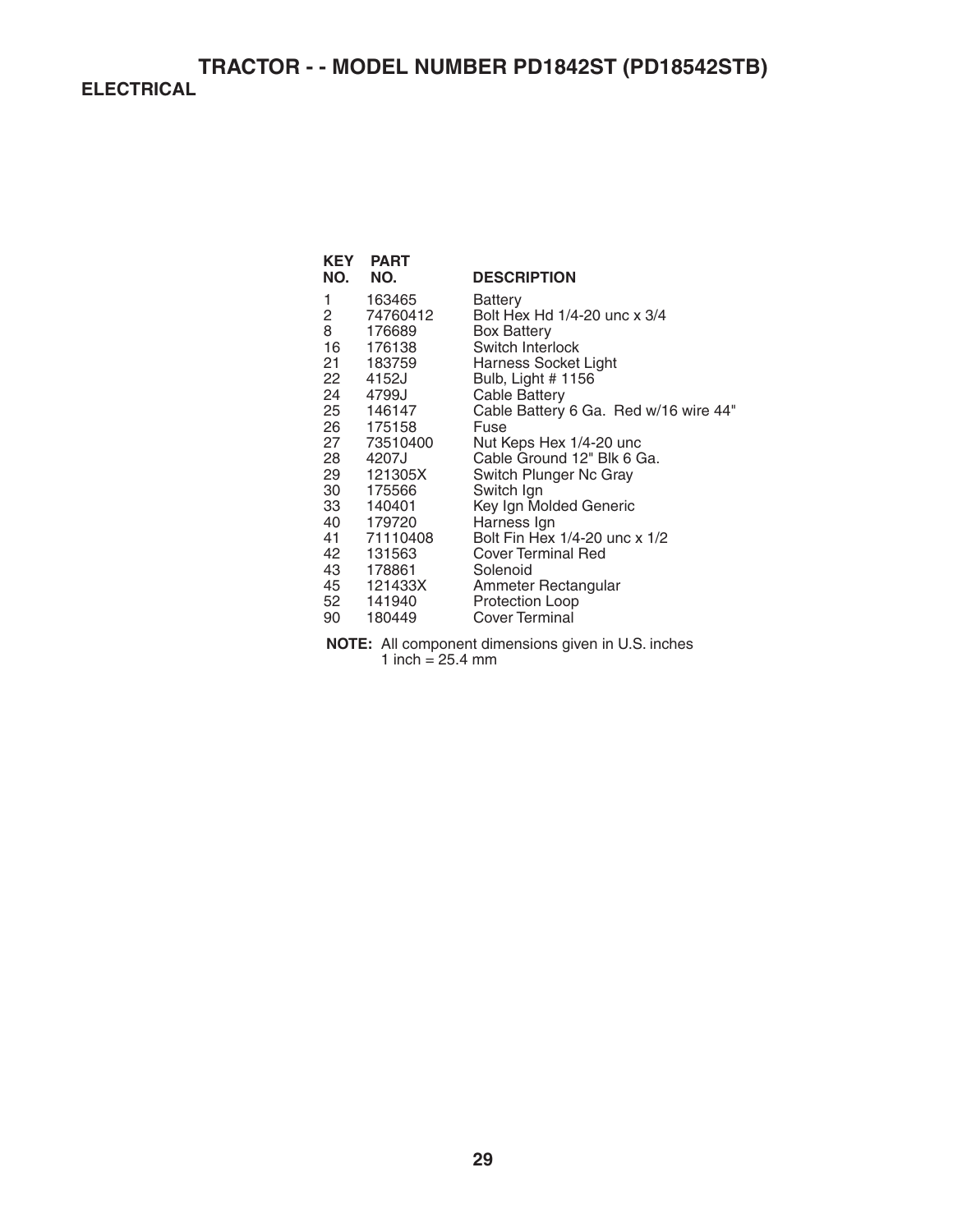| <b>KEY</b> | <b>PART</b> |                                       |
|------------|-------------|---------------------------------------|
| NO.        | NO.         | <b>DESCRIPTION</b>                    |
| 1          | 163465      | Battery                               |
| 2          | 74760412    | Bolt Hex Hd 1/4-20 unc x 3/4          |
| 8          | 176689      | <b>Box Battery</b>                    |
| 16         | 176138      | Switch Interlock                      |
| 21 —       | 183759      | Harness Socket Light                  |
| 22         | 4152J       | Bulb, Light # 1156                    |
| 24         | 4799J       | <b>Cable Battery</b>                  |
| 25         | 146147      | Cable Battery 6 Ga. Red w/16 wire 44" |
| 26 —       | 175158      | Fuse                                  |
| 27         | 73510400    | Nut Keps Hex 1/4-20 unc               |
| 28         | 4207J       | Cable Ground 12" Blk 6 Ga.            |
| 29         | 121305X     | Switch Plunger Nc Gray                |
| 30         | 175566      | Switch Ign                            |
| 33         | 140401      | Key Ign Molded Generic                |
| 40         | 179720      | Harness Ign                           |
| 41         | 71110408    | Bolt Fin Hex 1/4-20 unc x 1/2         |
| 42         | 131563      | <b>Cover Terminal Red</b>             |
| 43 —       | 178861      | Solenoid                              |
| 45 —       | 121433X     | Ammeter Rectangular                   |
| 52         | 141940      | <b>Protection Loop</b>                |
| 90         | 180449      | <b>Cover Terminal</b>                 |

**NOTE:** All component dimensions given in U.S. inches 1 inch = 25.4 mm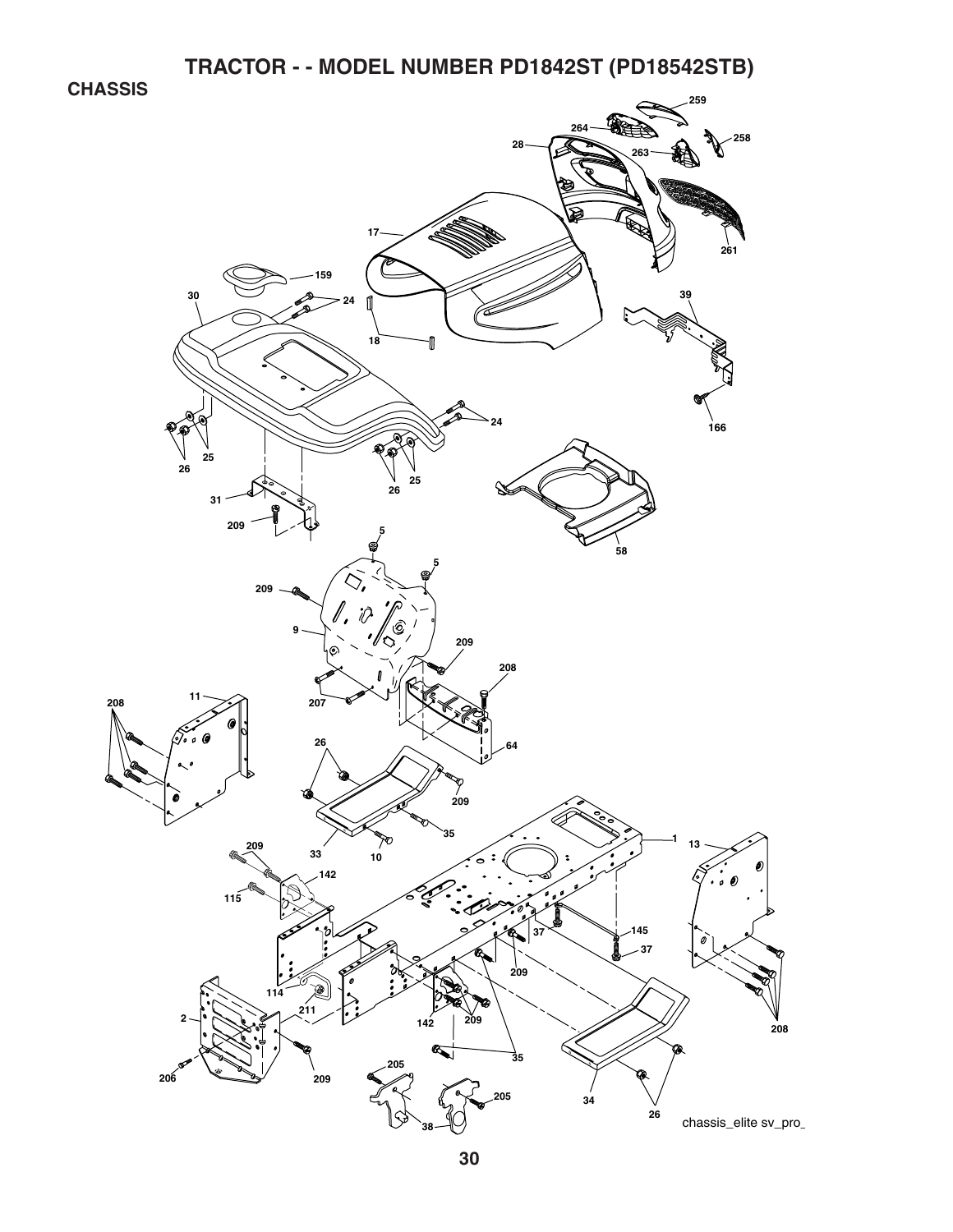**TRACTOR - - MODEL NUMBER PD1842ST (PD18542STB)** 

**CHASSIS** 

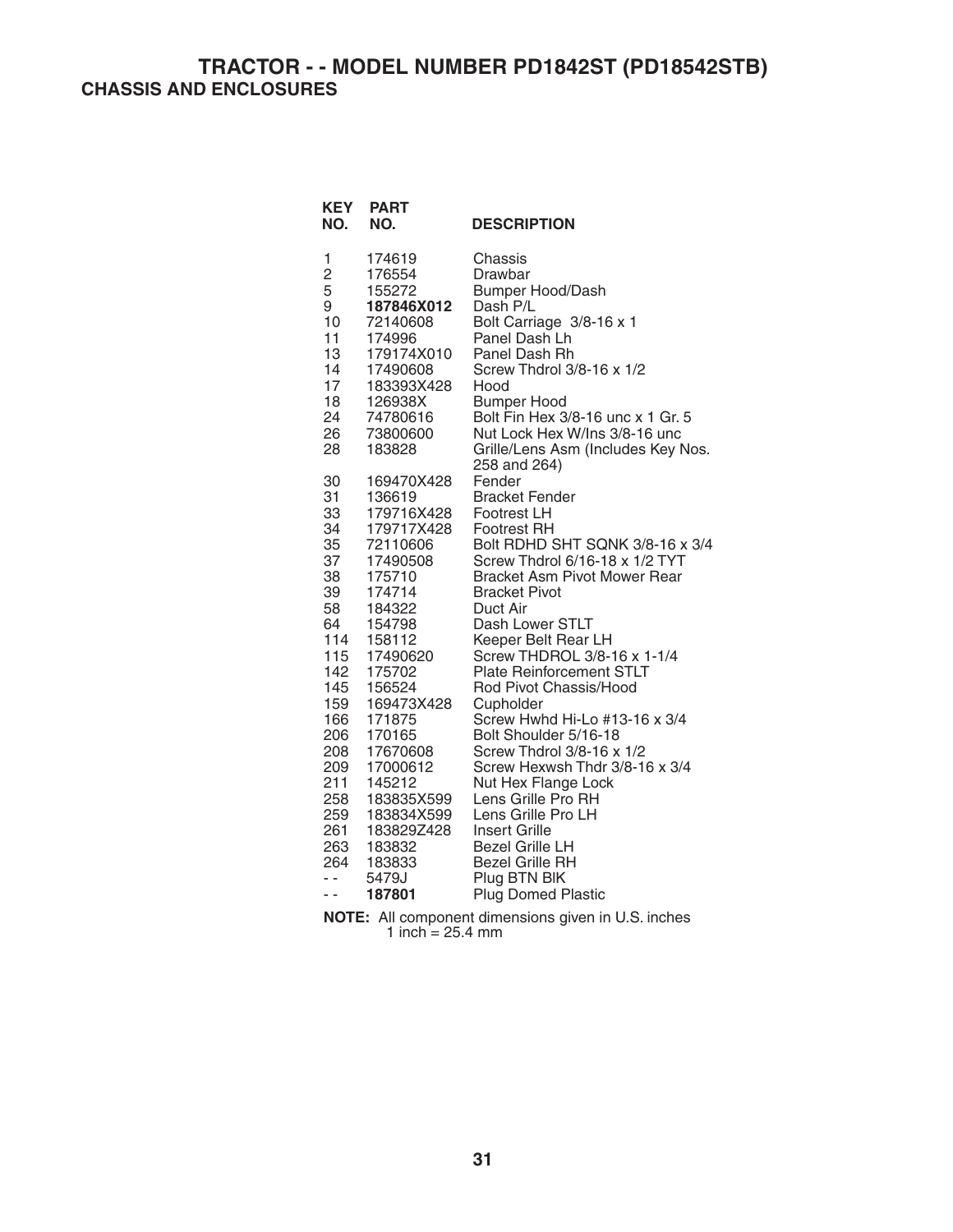**TRACTOR - - MODEL NUMBER PD1842ST (PD18542STB) CHASSIS AND ENCLOSURES**

| <b>KEY</b><br>NO.                                                                                                                                                                          | <b>PART</b><br>NO.                                                                                                                                                                                                                                                                                              | <b>DESCRIPTION</b>                                                                                                                                                                                                                                                                                                                                                                                                                                                                                                                                                                                                                                                                                                  |
|--------------------------------------------------------------------------------------------------------------------------------------------------------------------------------------------|-----------------------------------------------------------------------------------------------------------------------------------------------------------------------------------------------------------------------------------------------------------------------------------------------------------------|---------------------------------------------------------------------------------------------------------------------------------------------------------------------------------------------------------------------------------------------------------------------------------------------------------------------------------------------------------------------------------------------------------------------------------------------------------------------------------------------------------------------------------------------------------------------------------------------------------------------------------------------------------------------------------------------------------------------|
| 1<br>$\overline{c}$<br>5<br>9<br>10<br>11<br>13<br>14<br>17<br>18<br>24<br>26<br>28                                                                                                        | 174619<br>176554<br>155272<br>187846X012<br>72140608<br>174996<br>179174X010<br>17490608<br>183393X428<br>126938X<br>74780616<br>73800600<br>183828                                                                                                                                                             | Chassis<br>Drawbar<br><b>Bumper Hood/Dash</b><br>Dash P/L<br>Bolt Carriage 3/8-16 x 1<br>Panel Dash Lh<br>Panel Dash Rh<br>Screw Thdrol 3/8-16 x 1/2<br>Hood<br><b>Bumper Hood</b><br>Bolt Fin Hex 3/8-16 unc x 1 Gr. 5<br>Nut Lock Hex W/Ins 3/8-16 unc<br>Grille/Lens Asm (Includes Key Nos.                                                                                                                                                                                                                                                                                                                                                                                                                      |
| 30<br>31<br>33<br>34<br>35<br>37<br>38<br>39<br>58<br>64<br>114<br>115<br>142<br>145<br>159<br>166<br>206<br>208<br>209<br>211<br>258<br>259<br>261<br>263<br>264<br>$\overline{a}$<br>- - | 169470X428<br>136619<br>179716X428<br>179717X428<br>72110606<br>17490508<br>175710<br>174714<br>184322<br>154798<br>158112<br>17490620<br>175702<br>156524<br>169473X428<br>171875<br>170165<br>17670608<br>17000612<br>145212<br>183835X599<br>183834X599<br>183829Z428<br>183832<br>183833<br>5479J<br>187801 | 258 and 264)<br>Fender<br><b>Bracket Fender</b><br><b>Footrest LH</b><br><b>Footrest RH</b><br>Bolt RDHD SHT SQNK 3/8-16 x 3/4<br>Screw Thdrol 6/16-18 x 1/2 TYT<br><b>Bracket Asm Pivot Mower Rear</b><br><b>Bracket Pivot</b><br>Duct Air<br>Dash Lower STLT<br>Keeper Belt Rear LH<br>Screw THDROL 3/8-16 x 1-1/4<br><b>Plate Reinforcement STLT</b><br>Rod Pivot Chassis/Hood<br>Cupholder<br>Screw Hwhd Hi-Lo #13-16 x 3/4<br>Bolt Shoulder 5/16-18<br>Screw Thdrol 3/8-16 x 1/2<br>Screw Hexwsh Thdr 3/8-16 x 3/4<br>Nut Hex Flange Lock<br>Lens Grille Pro RH<br>Lens Grille Pro LH<br><b>Insert Grille</b><br><b>Bezel Grille LH</b><br><b>Bezel Grille RH</b><br>Plug BTN BIK<br><b>Plug Domed Plastic</b> |

**NOTE:** All component dimensions given in U.S. inches 1 inch  $= 25.4$  mm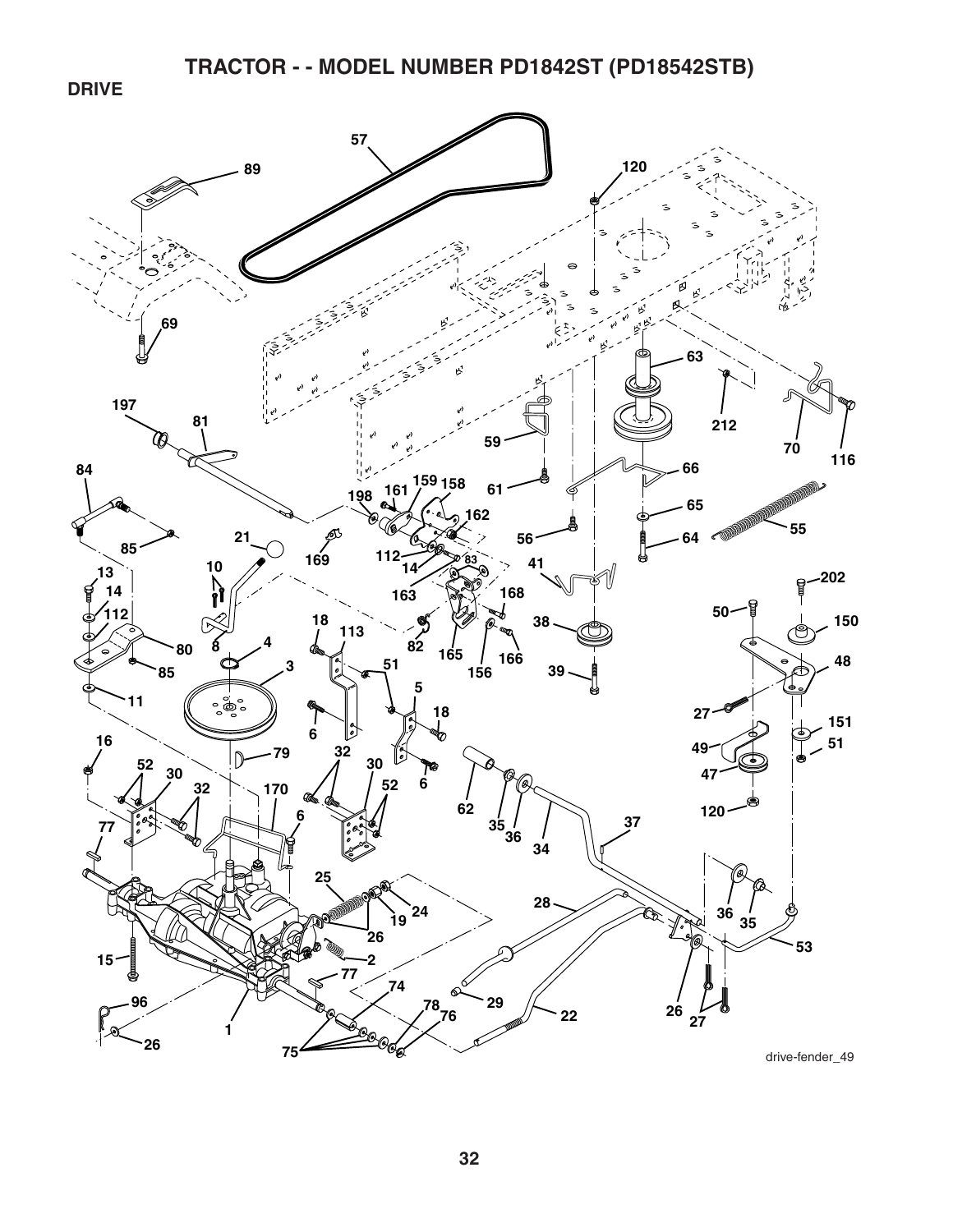# **TRACTOR - - MODEL NUMBER PD1842ST (PD18542STB)**

**DRIVE** 



drive-fender\_49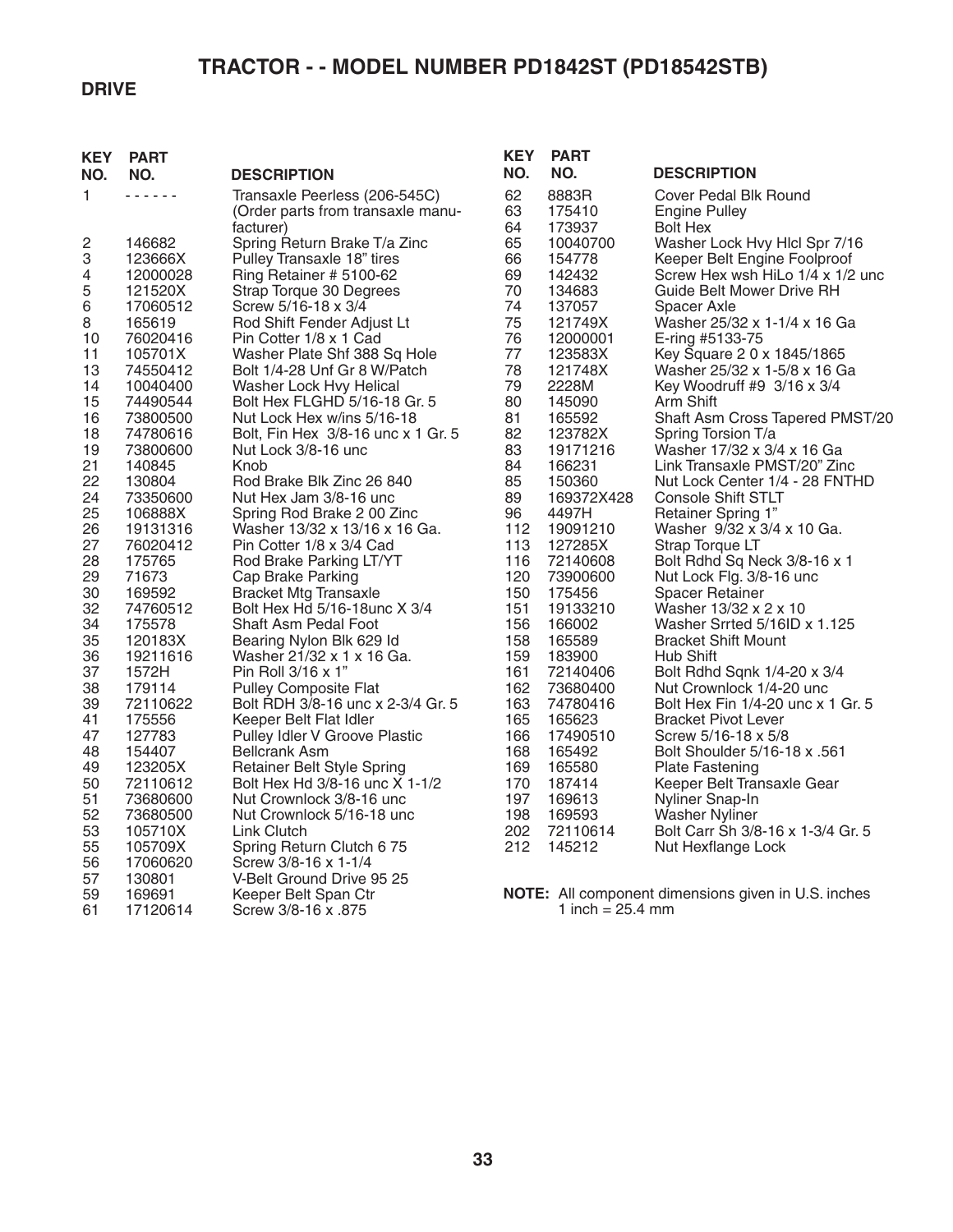# **TRACTOR - - MODEL NUMBER PD1842ST (PD18542STB)**

## **DRIVE**

| <b>KEY</b> | <b>PART</b>         |                                                              | <b>KEY</b> | <b>PART</b>                |                                                            |
|------------|---------------------|--------------------------------------------------------------|------------|----------------------------|------------------------------------------------------------|
| NO.        | NO.                 | <b>DESCRIPTION</b>                                           | NO.        | NO.                        | <b>DESCRIPTION</b>                                         |
| 1          | <u>.</u>            | Transaxle Peerless (206-545C)                                | 62         | 8883R                      | Cover Pedal Blk Round                                      |
|            |                     | (Order parts from transaxle manu-                            | 63         | 175410                     | <b>Engine Pulley</b>                                       |
|            |                     | facturer)                                                    | 64         | 173937                     | <b>Bolt Hex</b>                                            |
| 2          | 146682              | Spring Return Brake T/a Zinc                                 | 65         | 10040700                   | Washer Lock Hvy Hlcl Spr 7/16                              |
| 3          | 123666X             | Pulley Transaxle 18" tires                                   | 66         | 154778                     | Keeper Belt Engine Foolproof                               |
| 4          | 12000028            | Ring Retainer # 5100-62                                      | 69         | 142432                     | Screw Hex wsh HiLo 1/4 x 1/2 unc                           |
| 5          | 121520X             | Strap Torque 30 Degrees                                      | 70         | 134683                     | <b>Guide Belt Mower Drive RH</b>                           |
| 6          | 17060512            | Screw 5/16-18 x 3/4                                          | 74<br>75   | 137057                     | Spacer Axle                                                |
| 8<br>10    | 165619<br>76020416  | Rod Shift Fender Adjust Lt<br>Pin Cotter 1/8 x 1 Cad         | 76         | 121749X<br>12000001        | Washer 25/32 x 1-1/4 x 16 Ga                               |
| 11         |                     |                                                              | 77         |                            | E-ring #5133-75                                            |
| 13         | 105701X<br>74550412 | Washer Plate Shf 388 Sq Hole<br>Bolt 1/4-28 Unf Gr 8 W/Patch | 78         | 123583X<br>121748X         | Key Square 2 0 x 1845/1865<br>Washer 25/32 x 1-5/8 x 16 Ga |
| 14         | 10040400            | Washer Lock Hvy Helical                                      | 79         | 2228M                      | Key Woodruff #9 3/16 x 3/4                                 |
| 15         | 74490544            | Bolt Hex FLGHD 5/16-18 Gr. 5                                 | 80         | 145090                     | Arm Shift                                                  |
| 16         | 73800500            | Nut Lock Hex w/ins 5/16-18                                   | 81         | 165592                     | Shaft Asm Cross Tapered PMST/20                            |
| 18         | 74780616            | Bolt, Fin Hex 3/8-16 unc x 1 Gr. 5                           | 82         | 123782X                    | Spring Torsion T/a                                         |
| 19         | 73800600            | Nut Lock 3/8-16 unc                                          | 83         | 19171216                   | Washer 17/32 x 3/4 x 16 Ga                                 |
| 21         | 140845              | Knob                                                         | 84         | 166231                     | Link Transaxle PMST/20" Zinc                               |
| 22         | 130804              | Rod Brake Blk Zinc 26 840                                    | 85         | 150360                     | Nut Lock Center 1/4 - 28 FNTHD                             |
| 24         | 73350600            | Nut Hex Jam 3/8-16 unc                                       | 89         | 169372X428                 | <b>Console Shift STLT</b>                                  |
| 25         | 106888X             | Spring Rod Brake 2 00 Zinc                                   | 96         | 4497H                      | Retainer Spring 1"                                         |
| 26         | 19131316            | Washer 13/32 x 13/16 x 16 Ga.                                | 112        | 19091210                   | Washer 9/32 x 3/4 x 10 Ga.                                 |
| 27         | 76020412            | Pin Cotter 1/8 x 3/4 Cad                                     | 113        | 127285X                    | Strap Torque LT                                            |
| 28         | 175765              | Rod Brake Parking LT/YT                                      | 116        | 72140608                   | Bolt Rdhd Sq Neck 3/8-16 x 1                               |
| 29         | 71673               | Cap Brake Parking                                            | 120        | 73900600                   | Nut Lock Flg. 3/8-16 unc                                   |
| 30         | 169592              | <b>Bracket Mtg Transaxle</b>                                 | 150        | 175456                     | <b>Spacer Retainer</b>                                     |
| 32         | 74760512            | Bolt Hex Hd 5/16-18unc X 3/4                                 | 151        | 19133210                   | Washer 13/32 x 2 x 10                                      |
| 34         | 175578              | Shaft Asm Pedal Foot                                         | 156        | 166002                     | Washer Srrted 5/16ID x 1.125                               |
| 35         | 120183X             | Bearing Nylon Blk 629 Id                                     | 158        | 165589                     | <b>Bracket Shift Mount</b>                                 |
| 36<br>37   | 19211616<br>1572H   | Washer 21/32 x 1 x 16 Ga.<br>Pin Roll 3/16 x 1"              | 159<br>161 | 183900<br>72140406         | Hub Shift<br>Bolt Rdhd Sqnk 1/4-20 x 3/4                   |
| 38         | 179114              | <b>Pulley Composite Flat</b>                                 | 162        | 73680400                   | Nut Crownlock 1/4-20 unc                                   |
| 39         | 72110622            | Bolt RDH 3/8-16 unc x 2-3/4 Gr. 5                            | 163        | 74780416                   | Bolt Hex Fin 1/4-20 unc x 1 Gr. 5                          |
| 41         | 175556              | Keeper Belt Flat Idler                                       | 165        | 165623                     | <b>Bracket Pivot Lever</b>                                 |
| 47         | 127783              | Pulley Idler V Groove Plastic                                | 166        | 17490510                   | Screw 5/16-18 x 5/8                                        |
| 48         | 154407              | <b>Bellcrank Asm</b>                                         | 168        | 165492                     | Bolt Shoulder 5/16-18 x .561                               |
| 49         | 123205X             | Retainer Belt Style Spring                                   | 169        | 165580                     | <b>Plate Fastening</b>                                     |
| 50         | 72110612            | Bolt Hex Hd 3/8-16 unc X 1-1/2                               | 170        | 187414                     | Keeper Belt Transaxle Gear                                 |
| 51         | 73680600            | Nut Crownlock 3/8-16 unc                                     | 197        | 169613                     | Nyliner Snap-In                                            |
| 52         | 73680500            | Nut Crownlock 5/16-18 unc                                    | 198        | 169593                     | <b>Washer Nyliner</b>                                      |
| 53         | 105710X             | Link Clutch                                                  | 202        | 72110614                   | Bolt Carr Sh 3/8-16 x 1-3/4 Gr. 5                          |
| 55         | 105709X             | Spring Return Clutch 675                                     | 212        | 145212                     | Nut Hexflange Lock                                         |
| 56         | 17060620            | Screw 3/8-16 x 1-1/4                                         |            |                            |                                                            |
| 57         | 130801              | V-Belt Ground Drive 95 25                                    |            |                            |                                                            |
| 59         | 169691              | Keeper Belt Span Ctr                                         |            |                            | <b>NOTE:</b> All component dimensions given in U.S. inches |
| 61         | 17120614            | Screw 3/8-16 x .875                                          |            | 1 inch = $25.4 \text{ mm}$ |                                                            |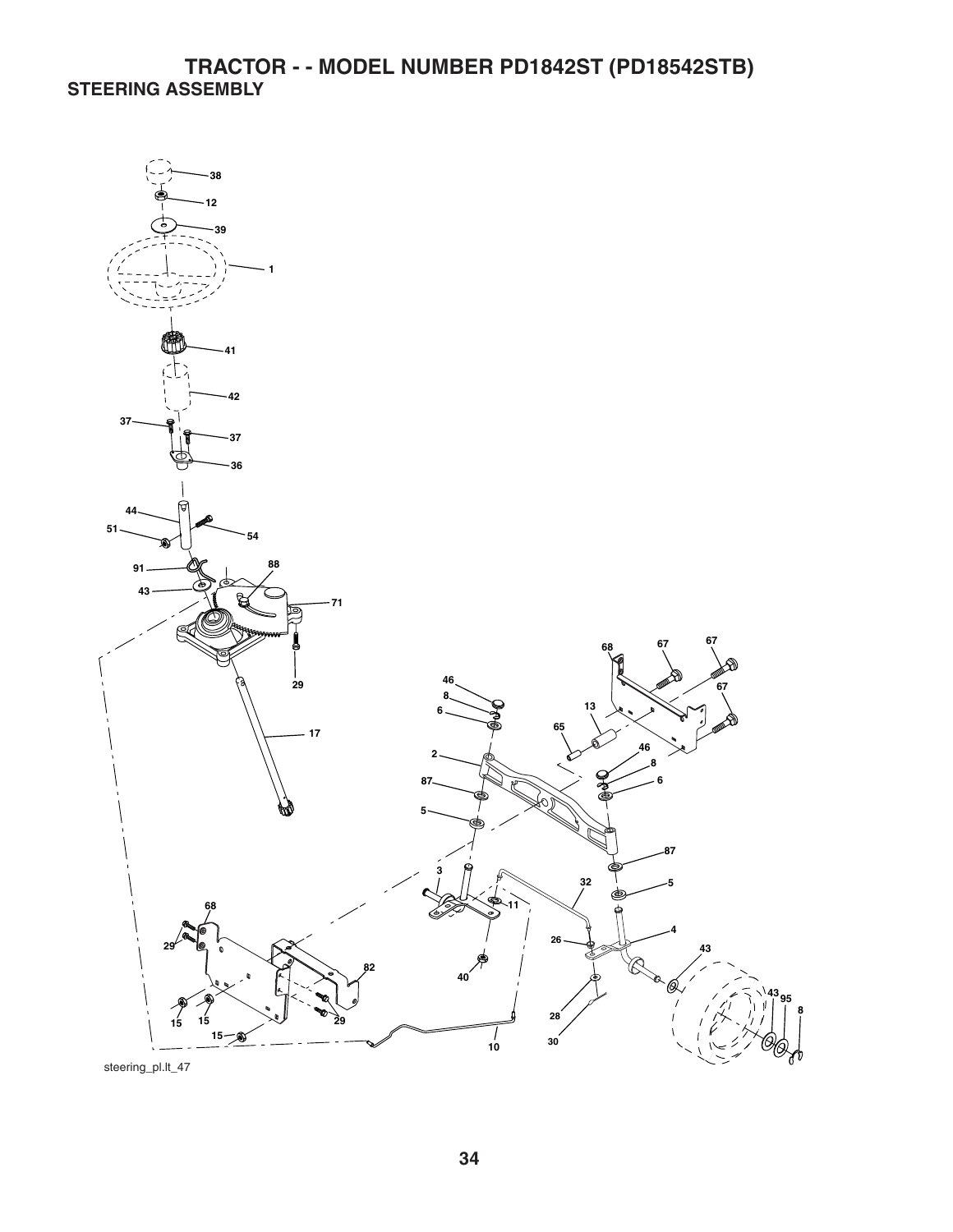# **TRACTOR - - MODEL NUMBER PD1842ST (PD18542STB) STEERING ASSEMBLY**



steering\_pl.lt\_47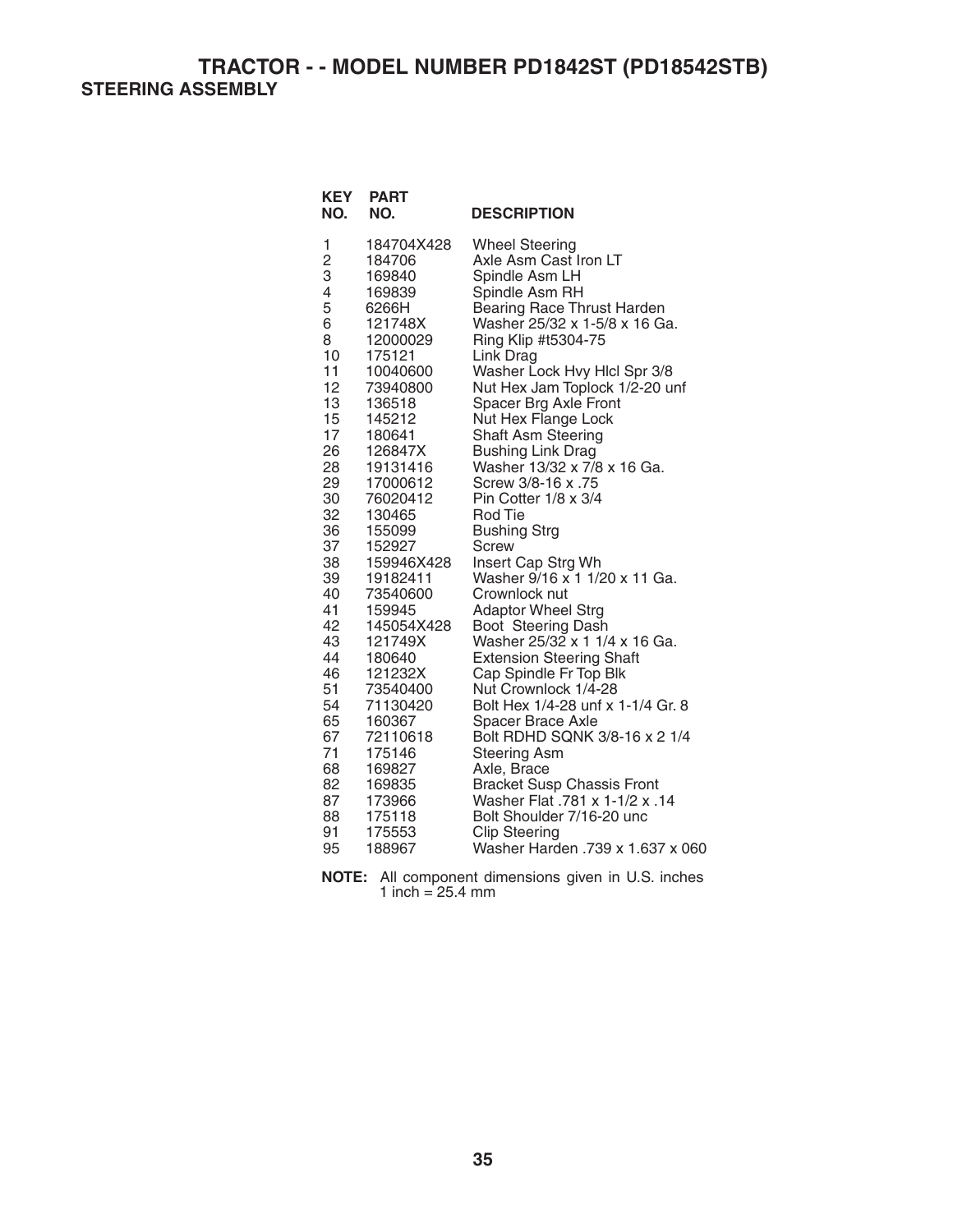**TRACTOR - - MODEL NUMBER PD1842ST (PD18542STB) STEERING ASSEMBLY** 

| NO.            | <b>KEY PART</b><br>NO. | <b>DESCRIPTION</b>                |
|----------------|------------------------|-----------------------------------|
| 1              | 184704X428             | <b>Wheel Steering</b>             |
| $\overline{c}$ | 184706                 | Axle Asm Cast Iron LT             |
| 3              | 169840                 | Spindle Asm LH                    |
| 4              | 169839                 | Spindle Asm RH                    |
| 5              | 6266H                  | Bearing Race Thrust Harden        |
| 6              | 121748X                | Washer 25/32 x 1-5/8 x 16 Ga.     |
| 8              | 12000029               | Ring Klip #t5304-75               |
| 10             | 175121                 | Link Drag                         |
| 11             | 10040600               | Washer Lock Hvy Hlcl Spr 3/8      |
| 12             | 73940800               | Nut Hex Jam Toplock 1/2-20 unf    |
| 13             | 136518                 | Spacer Brg Axle Front             |
| 15             | 145212                 | Nut Hex Flange Lock               |
| 17             | 180641                 | <b>Shaft Asm Steering</b>         |
| 26             | 126847X                | <b>Bushing Link Drag</b>          |
| 28             | 19131416               | Washer 13/32 x 7/8 x 16 Ga.       |
| 29             | 17000612               | Screw 3/8-16 x .75                |
| 30             | 76020412               | Pin Cotter 1/8 x 3/4              |
| 32             | 130465                 | <b>Rod Tie</b>                    |
| 36             | 155099                 | <b>Bushing Strg</b>               |
| 37             | 152927                 | <b>Screw</b>                      |
| 38             | 159946X428             | Insert Cap Strg Wh                |
| 39             | 19182411               | Washer 9/16 x 1 1/20 x 11 Ga.     |
| 40             | 73540600               | Crownlock nut                     |
| 41             | 159945                 | <b>Adaptor Wheel Strg</b>         |
| 42             | 145054X428             | Boot Steering Dash                |
| 43             | 121749X                | Washer 25/32 x 1 1/4 x 16 Ga.     |
| 44             | 180640                 | <b>Extension Steering Shaft</b>   |
| 46             | 121232X                | Cap Spindle Fr Top Blk            |
| 51             | 73540400               | Nut Crownlock 1/4-28              |
| 54             | 71130420               | Bolt Hex 1/4-28 unf x 1-1/4 Gr. 8 |
| 65             | 160367                 | Spacer Brace Axle                 |
| 67             | 72110618               | Bolt RDHD SQNK 3/8-16 x 2 1/4     |
| 71             | 175146                 | <b>Steering Asm</b>               |
| 68             | 169827                 | Axle, Brace                       |
| 82             | 169835                 | <b>Bracket Susp Chassis Front</b> |
| 87             | 173966                 | Washer Flat .781 x 1-1/2 x .14    |
| 88             | 175118                 | Bolt Shoulder 7/16-20 unc         |
| 91             | 175553                 | <b>Clip Steering</b>              |
| 95             | 188967                 | Washer Harden .739 x 1.637 x 060  |

**NOTE:** All component dimensions given in U.S. inches 1 inch =  $25.4 \, \text{mm}$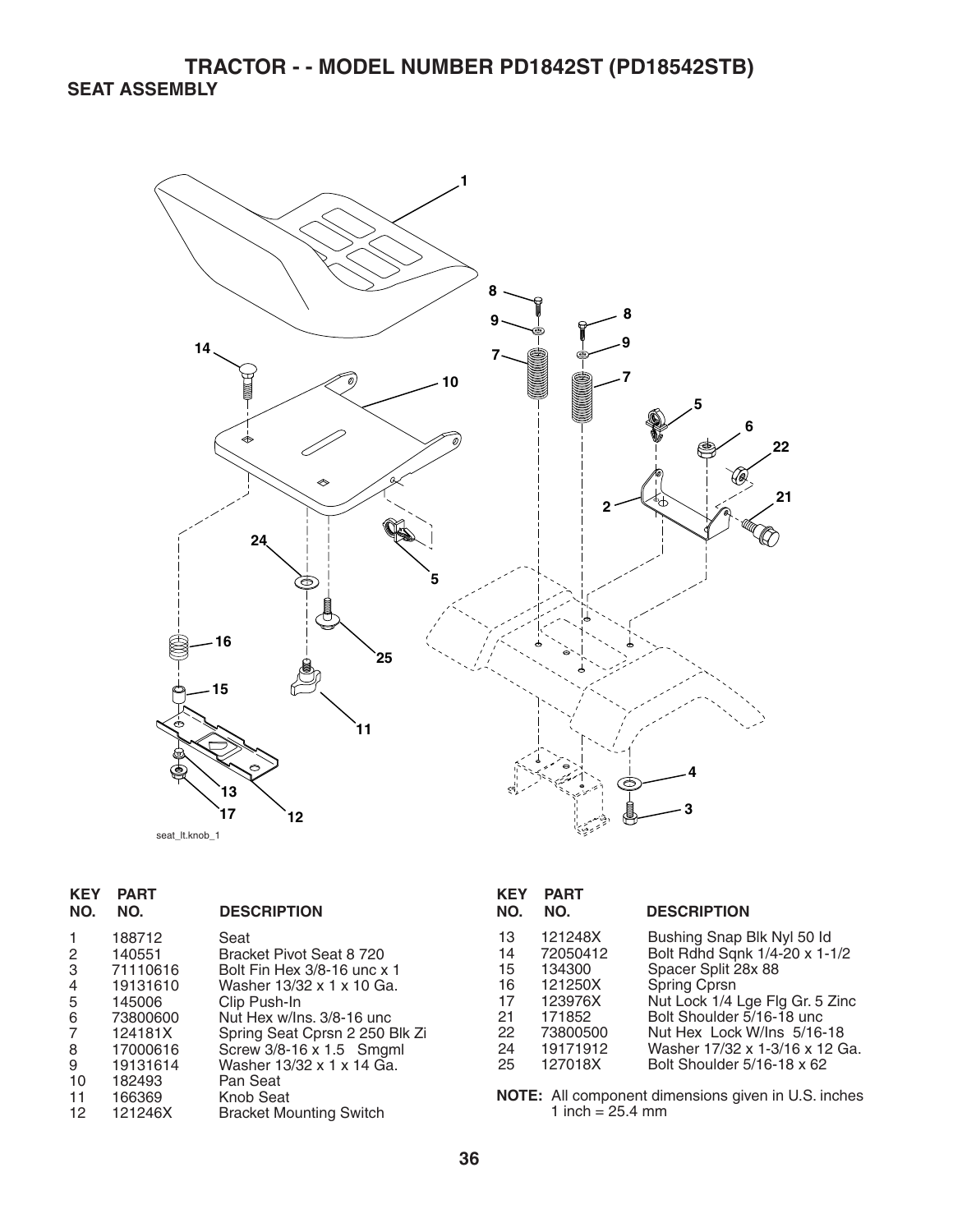## **TRACTOR - - MODEL NUMBER PD1842ST (PD18542STB) SEAT ASSEMBLY**



seat\_lt.knob\_1

| <b>KEY</b><br>NO. | <b>PART</b><br>NO. | <b>DESCRIPTION</b>             | <b>KEY</b><br>NO. | <b>PART</b><br>NO.         | <b>DESCRIPTION</b>                                  |
|-------------------|--------------------|--------------------------------|-------------------|----------------------------|-----------------------------------------------------|
|                   | 188712             | Seat                           | 13                | 121248X                    | Bushing Snap Blk Nyl 50 ld                          |
| 2                 | 140551             | Bracket Pivot Seat 8 720       | 14                | 72050412                   | Bolt Rdnd Sqnk 1/4-20 x 1-1/2                       |
| 3                 | 71110616           | Bolt Fin Hex 3/8-16 unc x 1    | 15                | 134300                     | Spacer Split 28x 88                                 |
| 4                 | 19131610           | Washer 13/32 x 1 x 10 Ga.      | 16                | 121250X                    | Spring Cprsn                                        |
| 5                 | 145006             | Clip Push-In                   | 17                | 123976X                    | Nut Lock 1/4 Lge Flg Gr. 5 Zinc                     |
| 6                 | 73800600           | Nut Hex w/Ins, 3/8-16 unc      | 21                | 171852                     | Bolt Shoulder 5/16-18 unc                           |
|                   | 124181X            | Spring Seat Cprsn 2 250 Blk Zi | 22                | 73800500                   | Nut Hex Lock W/Ins 5/16-18                          |
| 8                 | 17000616           | Screw 3/8-16 x 1.5 Smgml       | 24                | 19171912                   | Washer 17/32 x 1-3/16 x 12 Ga.                      |
| 9                 | 19131614           | Washer 13/32 x 1 x 14 Ga.      | 25                | 127018X                    | Bolt Shoulder 5/16-18 x 62                          |
| 10                | 182493             | Pan Seat                       |                   |                            |                                                     |
| 11                | 166369             | <b>Knob Seat</b>               |                   |                            | NOTE: All component dimensions given in U.S. inches |
| 12                | 121246X            | <b>Bracket Mounting Switch</b> |                   | 1 inch = $25.4 \text{ mm}$ |                                                     |
|                   |                    |                                |                   |                            |                                                     |

### **36**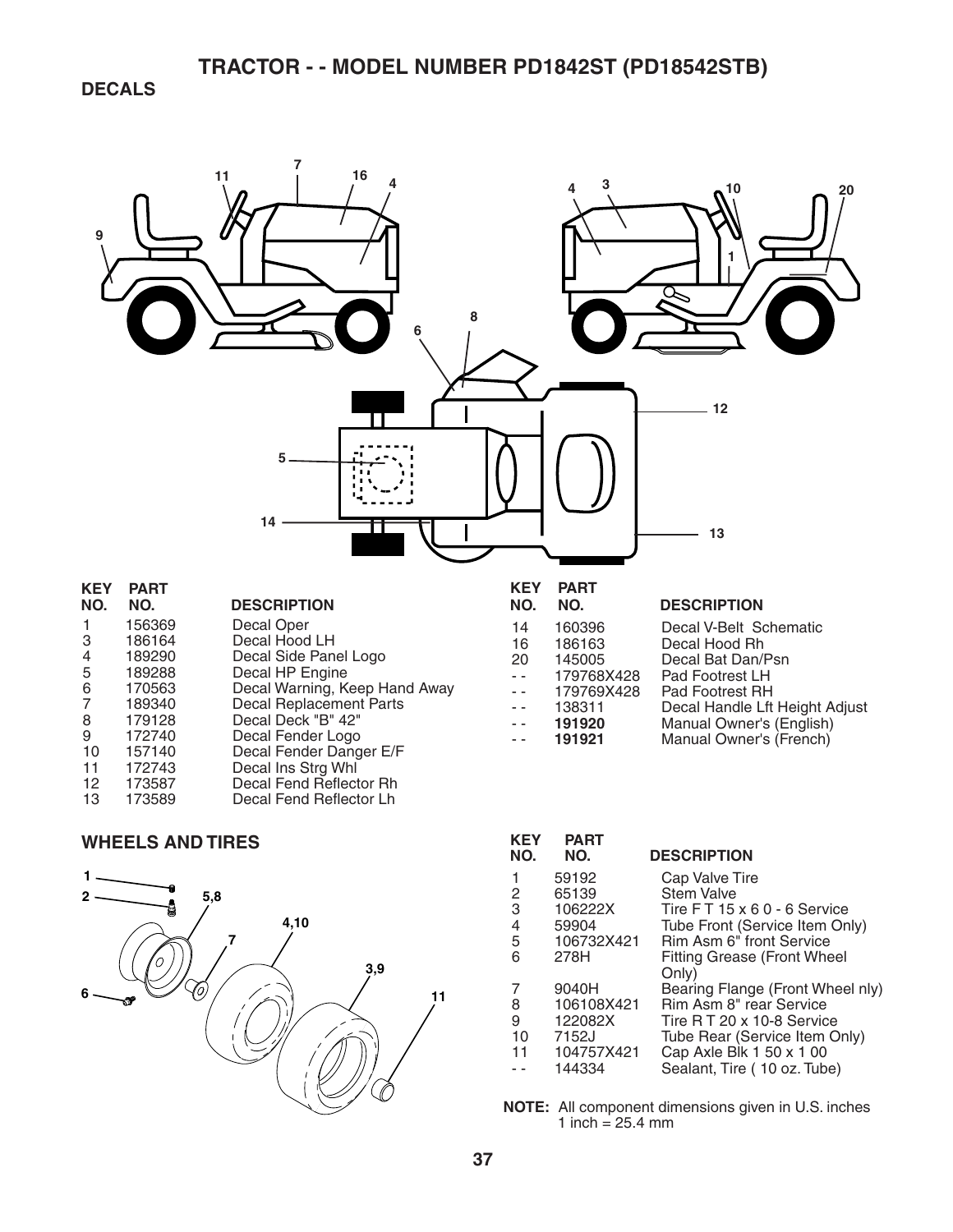**DECALS** 



**WHEELS AND TIRES**



| <b>KEY</b><br>NO. | <b>PART</b><br>NO. | <b>DESCRIPTION</b>                          |
|-------------------|--------------------|---------------------------------------------|
| 1                 | 59192              | Cap Valve Tire                              |
| 2                 | 65139              | Stem Valve                                  |
| 3                 | 106222X            | Tire $FT 15 \times 60 - 6$ Service          |
| 4                 | 59904              | Tube Front (Service Item Only)              |
| 5                 | 106732X421         | Rim Asm 6" front Service                    |
| 6                 | 278H               | <b>Fitting Grease (Front Wheel</b><br>Only) |
| 7                 | 9040H              | Bearing Flange (Front Wheel nly)            |
| 8                 | 106108X421         | Rim Asm 8" rear Service                     |
| 9                 | 122082X            | Tire R T 20 x 10-8 Service                  |
| 10                | 7152J              | Tube Rear (Service Item Only)               |
| 11                | 104757X421         | Cap Axle Blk 1 50 x 1 00                    |
|                   | 144334             | Sealant, Tire (10 oz. Tube)                 |

**NOTE:** All component dimensions given in U.S. inches 1 inch =  $25.4 \text{ mm}$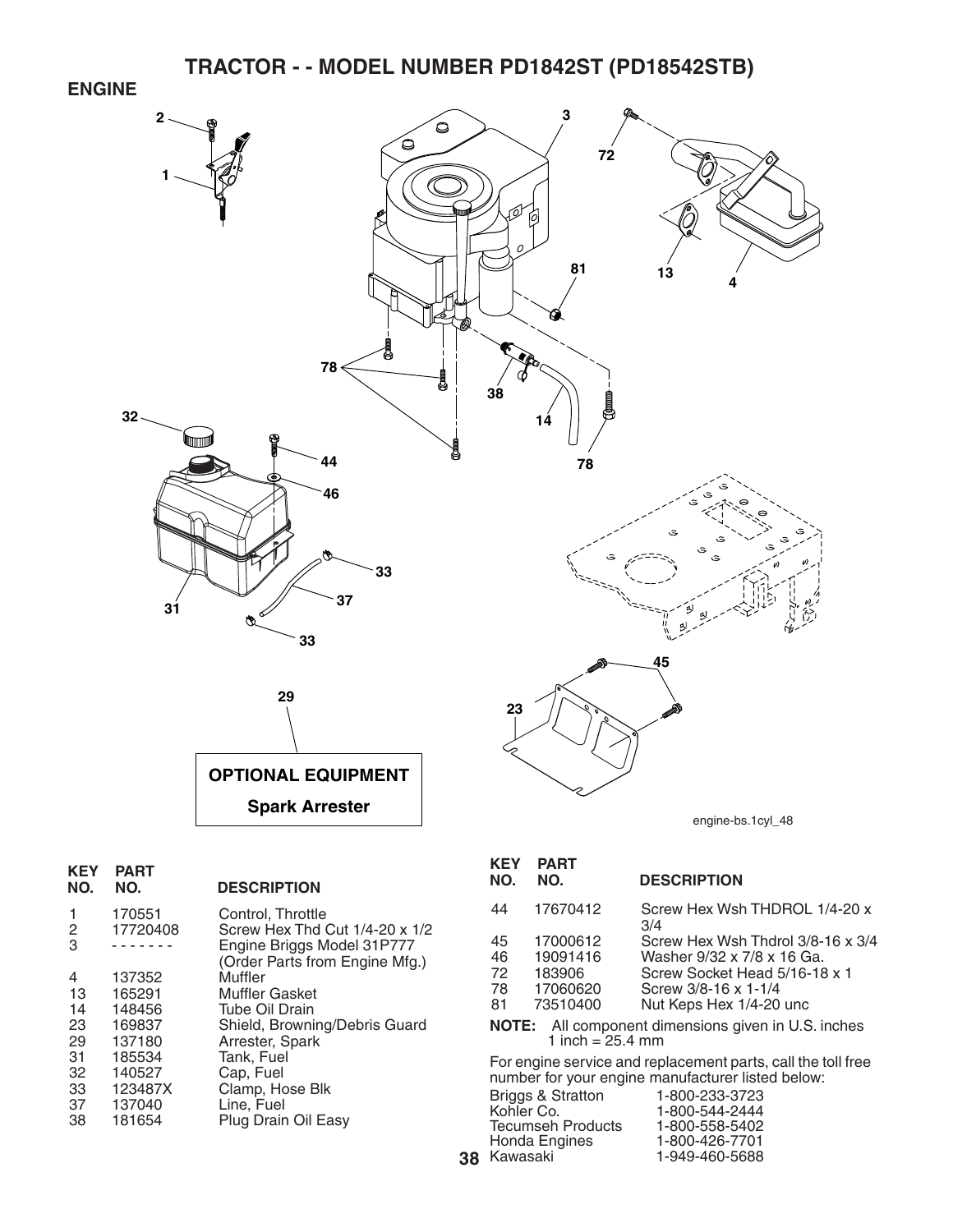**ENGINE** 



| <b>KEY</b><br>NO. | <b>PART</b><br>NO. | <b>DESCRIPTION</b>                                           |
|-------------------|--------------------|--------------------------------------------------------------|
| 1<br>2            | 170551<br>17720408 | Control, Throttle<br>Screw Hex Thd Cut 1/4-20 x 1/2          |
| 3                 |                    | Engine Briggs Model 31P777<br>(Order Parts from Engine Mfg.) |
| 4                 | 137352             | Muffler                                                      |
| 13                | 165291             | <b>Muffler Gasket</b>                                        |
| 14                | 148456             | Tube Oil Drain                                               |
| 23                | 169837             | Shield, Browning/Debris Guard                                |
| 29                | 137180             | Arrester, Spark                                              |
| 31                | 185534             | Tank, Fuel                                                   |
| 32                | 140527             | Cap, Fuel                                                    |
| 33                | 123487X            | Clamp, Hose Blk                                              |
| 37                | 137040             | Line, Fuel                                                   |
| 38                | 181654             | Plug Drain Oil Easy                                          |
|                   |                    |                                                              |

| <b>KEY</b><br>NO.                                                                                                 | <b>PART</b><br>NO. | <b>DESCRIPTION</b>                    |  |
|-------------------------------------------------------------------------------------------------------------------|--------------------|---------------------------------------|--|
| 44                                                                                                                | 17670412           | Screw Hex Wsh THDROL 1/4-20 x<br>3/4  |  |
| 45                                                                                                                | 17000612           | Screw Hex Wsh Thdrol 3/8-16 x 3/4     |  |
| 46                                                                                                                | 19091416           | Washer 9/32 x 7/8 x 16 Ga.            |  |
| 72                                                                                                                | 183906             | Screw Socket Head 5/16-18 x 1         |  |
| 78                                                                                                                | 17060620           | Screw 3/8-16 x 1-1/4                  |  |
| 81                                                                                                                | 73510400           | Nut Keps Hex 1/4-20 unc               |  |
| <b>NOTE:</b> All component dimensions given in U.S. inches<br>1 inch = $25.4 \text{ mm}$                          |                    |                                       |  |
| For engine service and replacement parts, call the toll free<br>number for your engine manufacturer listed below: |                    |                                       |  |
|                                                                                                                   | Briggs & Stratton  | 1-800-233-3723<br>$1.0005$ $-11.0111$ |  |

| Kohler Co.               | 1-800-544-2444 |
|--------------------------|----------------|
| <b>Tecumseh Products</b> | 1-800-558-5402 |
|                          | 1-800-426-7701 |
| 38 Kawasaki              | 1-949-460-5688 |
| Honda Engines            |                |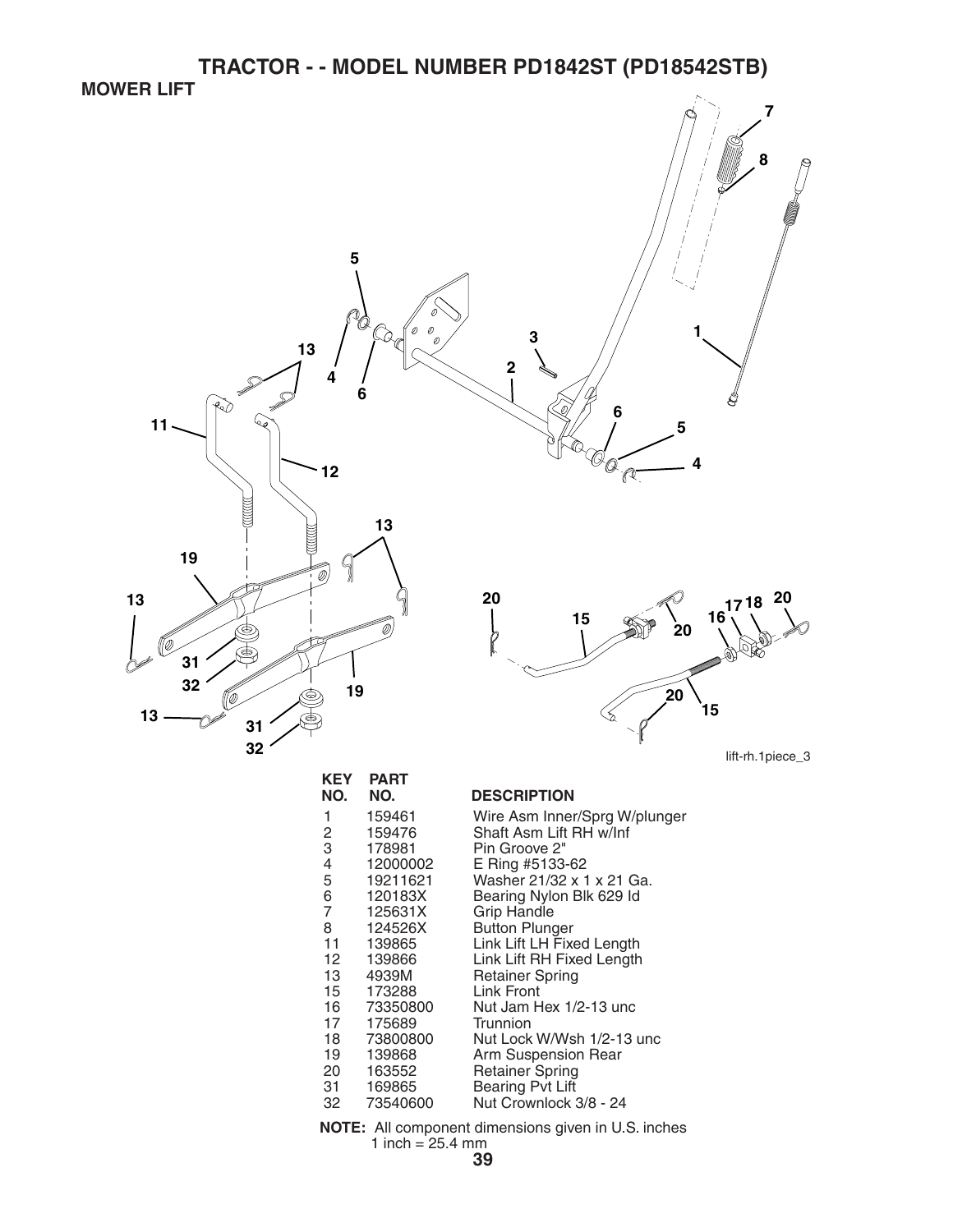## **TRACTOR - - MODEL NUMBER PD1842ST (PD18542STB) MOWER LIFT**



| 2                 | 159461<br>159476 | Wire Asm Inner/Sprg W/plun<br>Shaft Asm Lift RH w/Inf |
|-------------------|------------------|-------------------------------------------------------|
| 3                 | 178981           | Pin Groove 2"                                         |
| 4                 | 12000002         | E Ring #5133-62                                       |
| 5                 | 19211621         | Washer 21/32 x 1 x 21 Ga.                             |
| 6                 | 120183X          | Bearing Nylon Blk 629 Id                              |
| 7                 | 125631X          | <b>Grip Handle</b>                                    |
| 8                 | 124526X          | <b>Button Plunger</b>                                 |
| 11                | 139865           | Link Lift LH Fixed Length                             |
| $12 \overline{ }$ | 139866           | Link Lift RH Fixed Length                             |
| 13                | 4939M            | <b>Retainer Spring</b>                                |
| 15                | 173288           | <b>Link Front</b>                                     |
| 16                | 73350800         | Nut Jam Hex 1/2-13 unc                                |
| 17                | 175689           | Trunnion                                              |
| 18                | 73800800         | Nut Lock W/Wsh 1/2-13 unc                             |
| 19                | 139868           | Arm Suspension Rear                                   |
| 20                | 163552           | <b>Retainer Spring</b>                                |
| 31                | 169865           | <b>Bearing Pvt Lift</b>                               |
| 32                | 73540600         | Nut Crownlock 3/8 - 24                                |
|                   |                  |                                                       |

**NOTE:** All component dimensions given in U.S. inches 1 inch =  $25.4 \text{ mm}$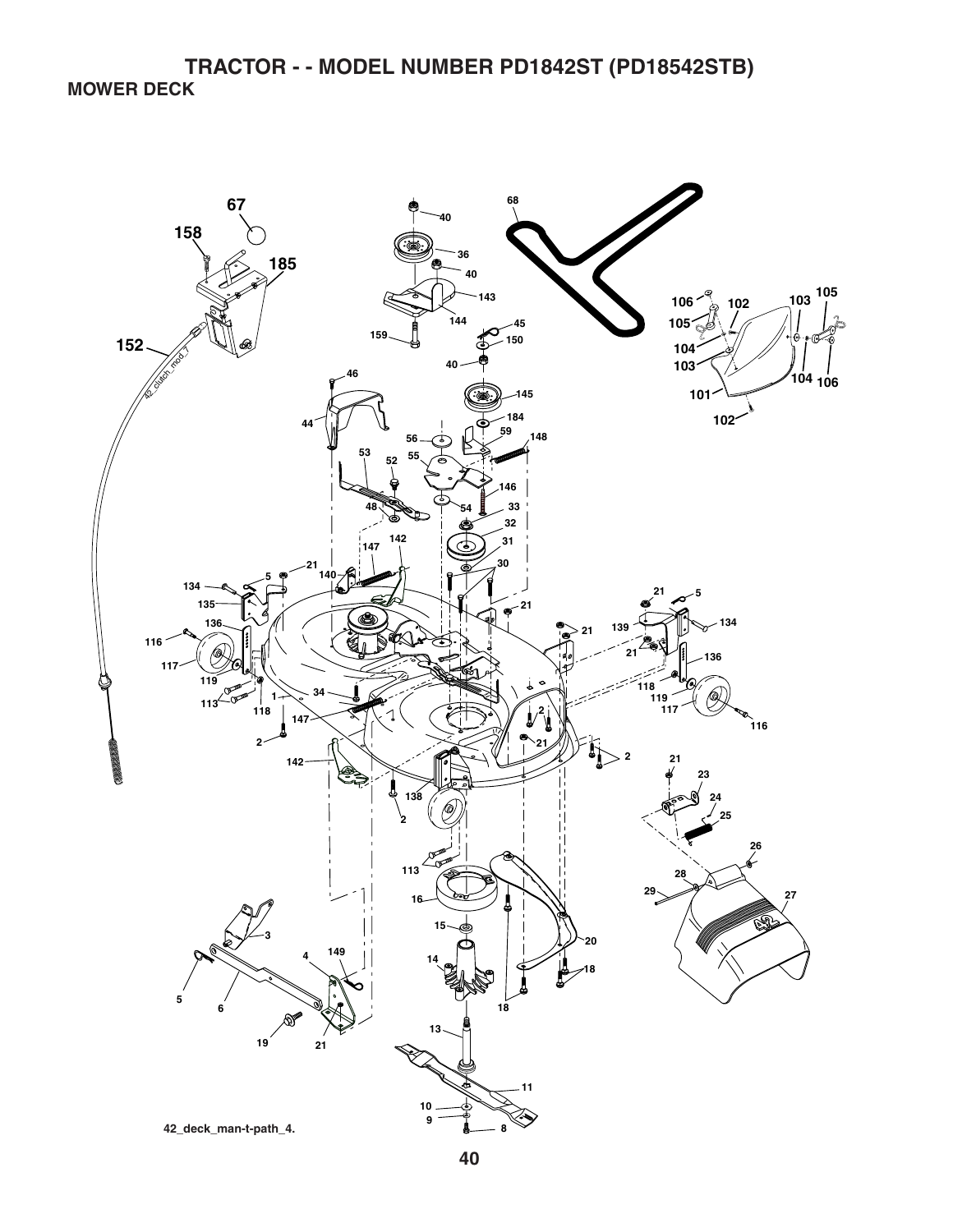**TRACTOR - - MODEL NUMBER PD1842ST (PD18542STB) MOWER DECK**